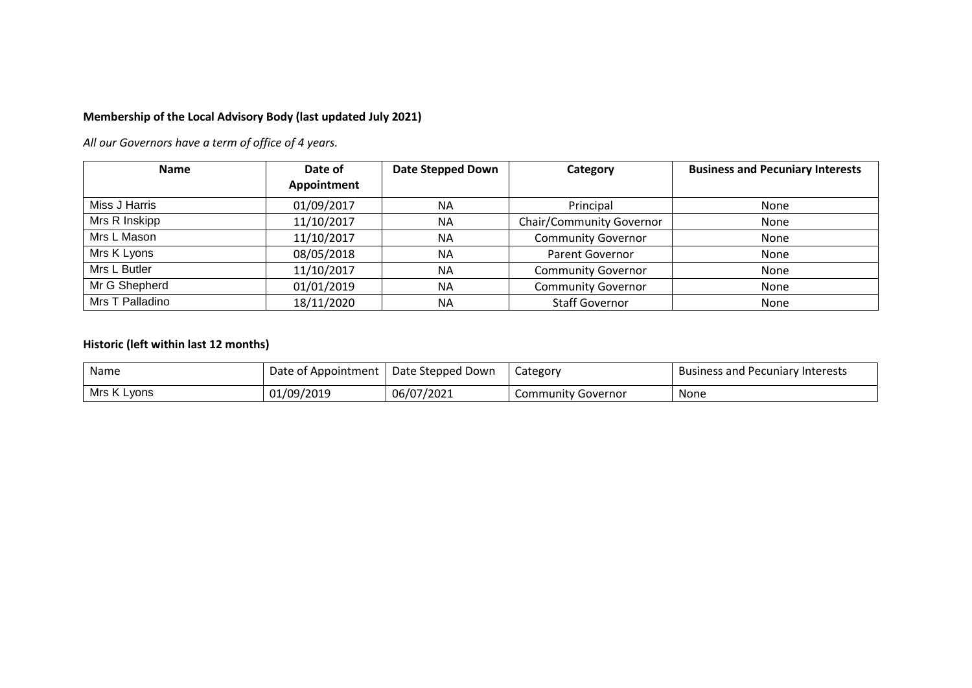## **Membership of the Local Advisory Body (last updated July 2021)**

*All our Governors have a term of office of 4 years.*

| <b>Name</b>     | Date of<br>Appointment | Date Stepped Down | Category                        | <b>Business and Pecuniary Interests</b> |  |
|-----------------|------------------------|-------------------|---------------------------------|-----------------------------------------|--|
| Miss J Harris   | 01/09/2017             | <b>NA</b>         | Principal                       | None                                    |  |
| Mrs R Inskipp   | 11/10/2017             | <b>NA</b>         | <b>Chair/Community Governor</b> | None                                    |  |
| Mrs L Mason     | 11/10/2017             | <b>NA</b>         | <b>Community Governor</b>       | None                                    |  |
| Mrs K Lyons     | 08/05/2018             | <b>NA</b>         | <b>Parent Governor</b>          | None                                    |  |
| Mrs L Butler    | 11/10/2017             | <b>NA</b>         | <b>Community Governor</b>       | None                                    |  |
| Mr G Shepherd   | 01/01/2019             | <b>NA</b>         | <b>Community Governor</b>       | None                                    |  |
| Mrs T Palladino | 18/11/2020             | <b>NA</b>         | <b>Staff Governor</b>           | None                                    |  |

## **Historic (left within last 12 months)**

| Name        | Date of Appointment | Date Stepped Down | Category                  | <b>Business and Pecuniary Interests</b> |
|-------------|---------------------|-------------------|---------------------------|-----------------------------------------|
| Mrs K Lyons | 01/09/2019          | 06/07/2021        | <b>Community Governor</b> | None                                    |